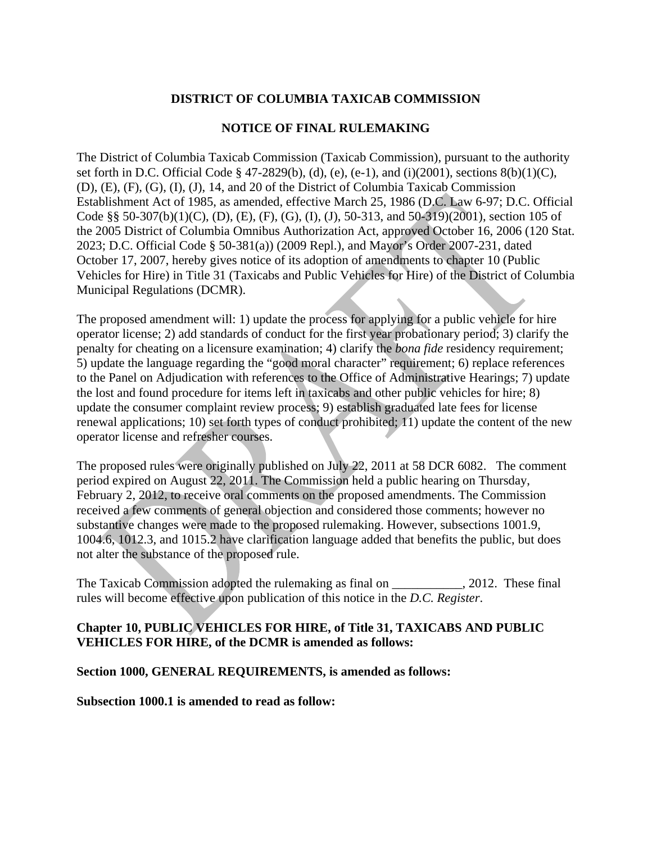# **DISTRICT OF COLUMBIA TAXICAB COMMISSION**

## **NOTICE OF FINAL RULEMAKING**

The District of Columbia Taxicab Commission (Taxicab Commission), pursuant to the authority set forth in D.C. Official Code § 47-2829(b), (d), (e), (e-1), and (i)(2001), sections 8(b)(1)(C), (D), (E), (F), (G), (I), (J), 14, and 20 of the District of Columbia Taxicab Commission Establishment Act of 1985, as amended, effective March 25, 1986 (D.C. Law 6-97; D.C. Official Code §§ 50-307(b)(1)(C), (D), (E), (F), (G), (I), (J), 50-313, and 50-319)(2001), section 105 of the 2005 District of Columbia Omnibus Authorization Act, approved October 16, 2006 [\(120 Stat.](http://www.lexis.com/research/buttonTFLink?_m=12c1db9c3708cce2d8012fd29cf10cac&_xfercite=%3ccite%20cc%3d%22USA%22%3e%3c%21%5bCDATA%5bCDCR%2031-1000%5d%5d%3e%3c%2fcite%3e&_butType=3&_butStat=2&_butNum=1&_butInline=1&_butinfo=%3ccite%20cc%3d%22USA%22%3e%3c%21%5bCDATA%5b120%20Stat.%202023%5d%5d%3e%3c%2fcite%3e&_fmtstr=FULL&docnum=1&_startdoc=1&wchp=dGLbVlb-zSkAb&_md5=4a9e9036f9ef80708cf606aceca6d082)  [2023;](http://www.lexis.com/research/buttonTFLink?_m=12c1db9c3708cce2d8012fd29cf10cac&_xfercite=%3ccite%20cc%3d%22USA%22%3e%3c%21%5bCDATA%5bCDCR%2031-1000%5d%5d%3e%3c%2fcite%3e&_butType=3&_butStat=2&_butNum=1&_butInline=1&_butinfo=%3ccite%20cc%3d%22USA%22%3e%3c%21%5bCDATA%5b120%20Stat.%202023%5d%5d%3e%3c%2fcite%3e&_fmtstr=FULL&docnum=1&_startdoc=1&wchp=dGLbVlb-zSkAb&_md5=4a9e9036f9ef80708cf606aceca6d082) D.C. Official Code § 50-381(a)) (2009 Repl.), and Mayor's Order 2007-231, dated October 17, 2007, hereby gives notice of its adoption of amendments to chapter 10 (Public Vehicles for Hire) in Title 31 (Taxicabs and Public Vehicles for Hire) of the District of Columbia Municipal Regulations (DCMR).

The proposed amendment will: 1) update the process for applying for a public vehicle for hire operator license; 2) add standards of conduct for the first year probationary period; 3) clarify the penalty for cheating on a licensure examination; 4) clarify the *bona fide* residency requirement; 5) update the language regarding the "good moral character" requirement; 6) replace references to the Panel on Adjudication with references to the Office of Administrative Hearings; 7) update the lost and found procedure for items left in taxicabs and other public vehicles for hire; 8) update the consumer complaint review process; 9) establish graduated late fees for license renewal applications; 10) set forth types of conduct prohibited; 11) update the content of the new operator license and refresher courses.

The proposed rules were originally published on July 22, 2011 at 58 DCR 6082. The comment period expired on August 22, 2011. The Commission held a public hearing on Thursday, February 2, 2012, to receive oral comments on the proposed amendments. The Commission received a few comments of general objection and considered those comments; however no substantive changes were made to the proposed rulemaking. However, subsections 1001.9, 1004.6, 1012.3, and 1015.2 have clarification language added that benefits the public, but does not alter the substance of the proposed rule.

The Taxicab Commission adopted the rulemaking as final on  $\qquad \qquad$ , 2012. These final rules will become effective upon publication of this notice in the *D.C. Register*.

## **Chapter 10, PUBLIC VEHICLES FOR HIRE, of Title 31, TAXICABS AND PUBLIC VEHICLES FOR HIRE, of the DCMR is amended as follows:**

## **Section 1000, GENERAL REQUIREMENTS, is amended as follows:**

**Subsection 1000.1 is amended to read as follow:**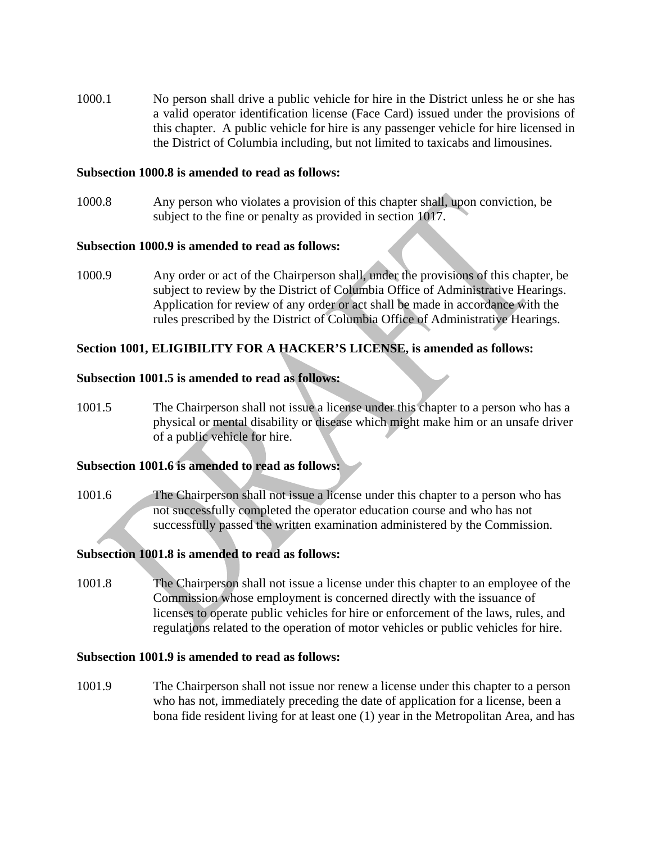1000.1 No person shall drive a public vehicle for hire in the District unless he or she has a valid operator identification license (Face Card) issued under the provisions of this chapter. A public vehicle for hire is any passenger vehicle for hire licensed in the District of Columbia including, but not limited to taxicabs and limousines.

### **Subsection 1000.8 is amended to read as follows:**

1000.8 Any person who violates a provision of this chapter shall, upon conviction, be subject to the fine or penalty as provided in section 1017.

### **Subsection 1000.9 is amended to read as follows:**

1000.9 Any order or act of the Chairperson shall, under the provisions of this chapter, be subject to review by the District of Columbia Office of Administrative Hearings. Application for review of any order or act shall be made in accordance with the rules prescribed by the District of Columbia Office of Administrative Hearings.

## **Section 1001, ELIGIBILITY FOR A HACKER'S LICENSE, is amended as follows:**

## **Subsection 1001.5 is amended to read as follows:**

1001.5 The Chairperson shall not issue a license under this chapter to a person who has a physical or mental disability or disease which might make him or an unsafe driver of a public vehicle for hire.

#### **Subsection 1001.6 is amended to read as follows:**

1001.6 The Chairperson shall not issue a license under this chapter to a person who has not successfully completed the operator education course and who has not successfully passed the written examination administered by the Commission.

## **Subsection 1001.8 is amended to read as follows:**

1001.8 The Chairperson shall not issue a license under this chapter to an employee of the Commission whose employment is concerned directly with the issuance of licenses to operate public vehicles for hire or enforcement of the laws, rules, and regulations related to the operation of motor vehicles or public vehicles for hire.

### **Subsection 1001.9 is amended to read as follows:**

1001.9 The Chairperson shall not issue nor renew a license under this chapter to a person who has not, immediately preceding the date of application for a license, been a bona fide resident living for at least one (1) year in the Metropolitan Area, and has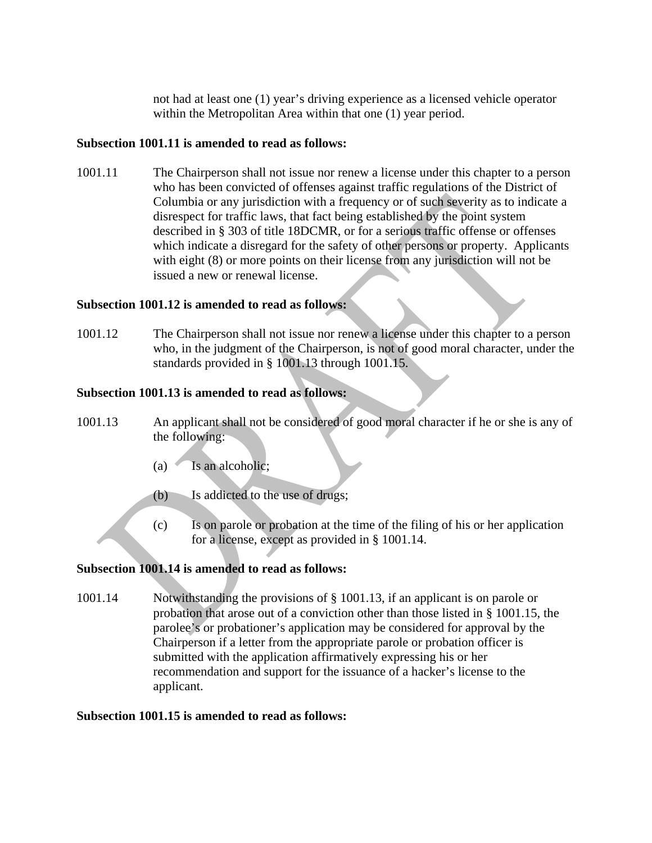not had at least one (1) year's driving experience as a licensed vehicle operator within the Metropolitan Area within that one (1) year period.

# **Subsection 1001.11 is amended to read as follows:**

1001.11 The Chairperson shall not issue nor renew a license under this chapter to a person who has been convicted of offenses against traffic regulations of the District of Columbia or any jurisdiction with a frequency or of such severity as to indicate a disrespect for traffic laws, that fact being established by the point system described in § 303 of title 18DCMR, or for a serious traffic offense or offenses which indicate a disregard for the safety of other persons or property. Applicants with eight (8) or more points on their license from any jurisdiction will not be issued a new or renewal license.

## **Subsection 1001.12 is amended to read as follows:**

1001.12 The Chairperson shall not issue nor renew a license under this chapter to a person who, in the judgment of the Chairperson, is not of good moral character, under the standards provided in § 1001.13 through 1001.15.

## **Subsection 1001.13 is amended to read as follows:**

- 1001.13 An applicant shall not be considered of good moral character if he or she is any of the following:
	- $(a)$  Is an alcoholic;
	- (b) Is addicted to the use of drugs;
	- (c) Is on parole or probation at the time of the filing of his or her application for a license, except as provided in § 1001.14.

# **Subsection 1001.14 is amended to read as follows:**

1001.14 Notwithstanding the provisions of § 1001.13, if an applicant is on parole or probation that arose out of a conviction other than those listed in § 1001.15, the parolee's or probationer's application may be considered for approval by the Chairperson if a letter from the appropriate parole or probation officer is submitted with the application affirmatively expressing his or her recommendation and support for the issuance of a hacker's license to the applicant.

## **Subsection 1001.15 is amended to read as follows:**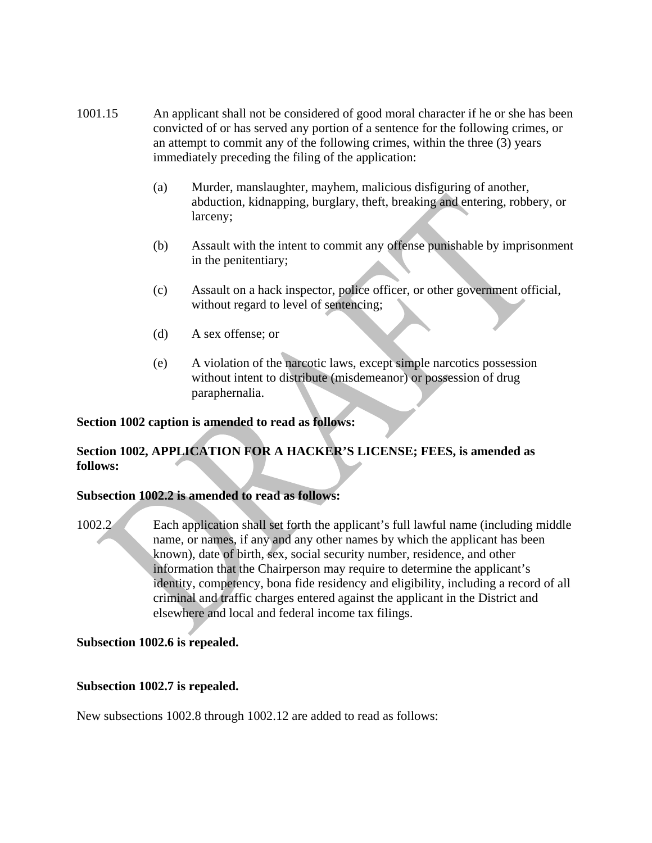- 1001.15 An applicant shall not be considered of good moral character if he or she has been convicted of or has served any portion of a sentence for the following crimes, or an attempt to commit any of the following crimes, within the three (3) years immediately preceding the filing of the application:
	- (a) Murder, manslaughter, mayhem, malicious disfiguring of another, abduction, kidnapping, burglary, theft, breaking and entering, robbery, or larceny;
	- (b) Assault with the intent to commit any offense punishable by imprisonment in the penitentiary;
	- (c) Assault on a hack inspector, police officer, or other government official, without regard to level of sentencing;
	- (d) A sex offense; or
	- (e) A violation of the narcotic laws, except simple narcotics possession without intent to distribute (misdemeanor) or possession of drug paraphernalia.

## **Section 1002 caption is amended to read as follows:**

# **Section 1002, APPLICATION FOR A HACKER'S LICENSE; FEES, is amended as follows:**

## **Subsection 1002.2 is amended to read as follows:**

1002.2 Each application shall set forth the applicant's full lawful name (including middle name, or names, if any and any other names by which the applicant has been known), date of birth, sex, social security number, residence, and other information that the Chairperson may require to determine the applicant's identity, competency, bona fide residency and eligibility, including a record of all criminal and traffic charges entered against the applicant in the District and elsewhere and local and federal income tax filings.

## **Subsection 1002.6 is repealed.**

## **Subsection 1002.7 is repealed.**

New subsections 1002.8 through 1002.12 are added to read as follows: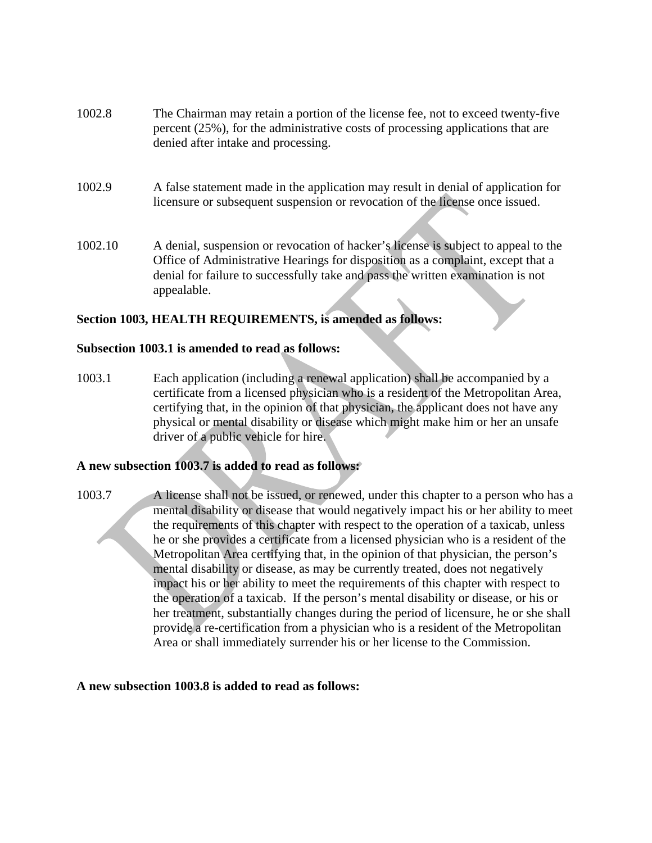| 1002.8 | The Chairman may retain a portion of the license fee, not to exceed twenty-five |
|--------|---------------------------------------------------------------------------------|
|        | percent (25%), for the administrative costs of processing applications that are |
|        | denied after intake and processing.                                             |

- 1002.9 A false statement made in the application may result in denial of application for licensure or subsequent suspension or revocation of the license once issued.
- 1002.10 A denial, suspension or revocation of hacker's license is subject to appeal to the Office of Administrative Hearings for disposition as a complaint, except that a denial for failure to successfully take and pass the written examination is not appealable.

## **Section 1003, HEALTH REQUIREMENTS, is amended as follows:**

### **Subsection 1003.1 is amended to read as follows:**

1003.1 Each application (including a renewal application) shall be accompanied by a certificate from a licensed physician who is a resident of the Metropolitan Area, certifying that, in the opinion of that physician, the applicant does not have any physical or mental disability or disease which might make him or her an unsafe driver of a public vehicle for hire.

## **A new subsection 1003.7 is added to read as follows:**

1003.7 A license shall not be issued, or renewed, under this chapter to a person who has a mental disability or disease that would negatively impact his or her ability to meet the requirements of this chapter with respect to the operation of a taxicab, unless he or she provides a certificate from a licensed physician who is a resident of the Metropolitan Area certifying that, in the opinion of that physician, the person's mental disability or disease, as may be currently treated, does not negatively impact his or her ability to meet the requirements of this chapter with respect to the operation of a taxicab. If the person's mental disability or disease, or his or her treatment, substantially changes during the period of licensure, he or she shall provide a re-certification from a physician who is a resident of the Metropolitan Area or shall immediately surrender his or her license to the Commission.

#### **A new subsection 1003.8 is added to read as follows:**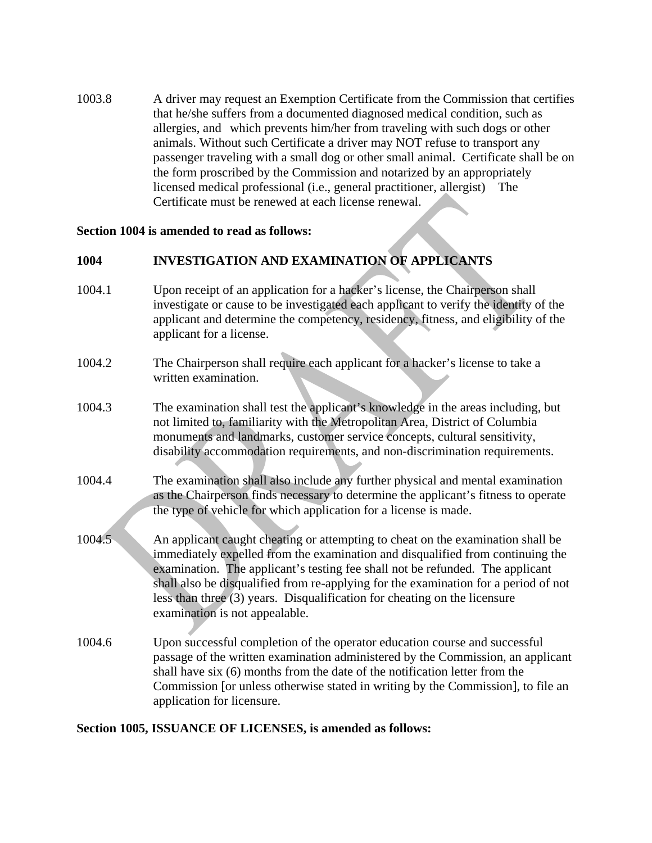1003.8 A driver may request an Exemption Certificate from the Commission that certifies that he/she suffers from a documented diagnosed medical condition, such as allergies, and which prevents him/her from traveling with such dogs or other animals. Without such Certificate a driver may NOT refuse to transport any passenger traveling with a small dog or other small animal. Certificate shall be on the form proscribed by the Commission and notarized by an appropriately licensed medical professional (i.e., general practitioner, allergist) The Certificate must be renewed at each license renewal.

## **Section 1004 is amended to read as follows:**

# **1004 INVESTIGATION AND EXAMINATION OF APPLICANTS**

- 1004.1 Upon receipt of an application for a hacker's license, the Chairperson shall investigate or cause to be investigated each applicant to verify the identity of the applicant and determine the competency, residency, fitness, and eligibility of the applicant for a license.
- 1004.2 The Chairperson shall require each applicant for a hacker's license to take a written examination.
- 1004.3 The examination shall test the applicant's knowledge in the areas including, but not limited to, familiarity with the Metropolitan Area, District of Columbia monuments and landmarks, customer service concepts, cultural sensitivity, disability accommodation requirements, and non-discrimination requirements.
- 1004.4 The examination shall also include any further physical and mental examination as the Chairperson finds necessary to determine the applicant's fitness to operate the type of vehicle for which application for a license is made.
- 1004.5 An applicant caught cheating or attempting to cheat on the examination shall be immediately expelled from the examination and disqualified from continuing the examination. The applicant's testing fee shall not be refunded. The applicant shall also be disqualified from re-applying for the examination for a period of not less than three (3) years. Disqualification for cheating on the licensure examination is not appealable.
- 1004.6 Upon successful completion of the operator education course and successful passage of the written examination administered by the Commission, an applicant shall have six (6) months from the date of the notification letter from the Commission [or unless otherwise stated in writing by the Commission], to file an application for licensure.

#### **Section 1005, ISSUANCE OF LICENSES, is amended as follows:**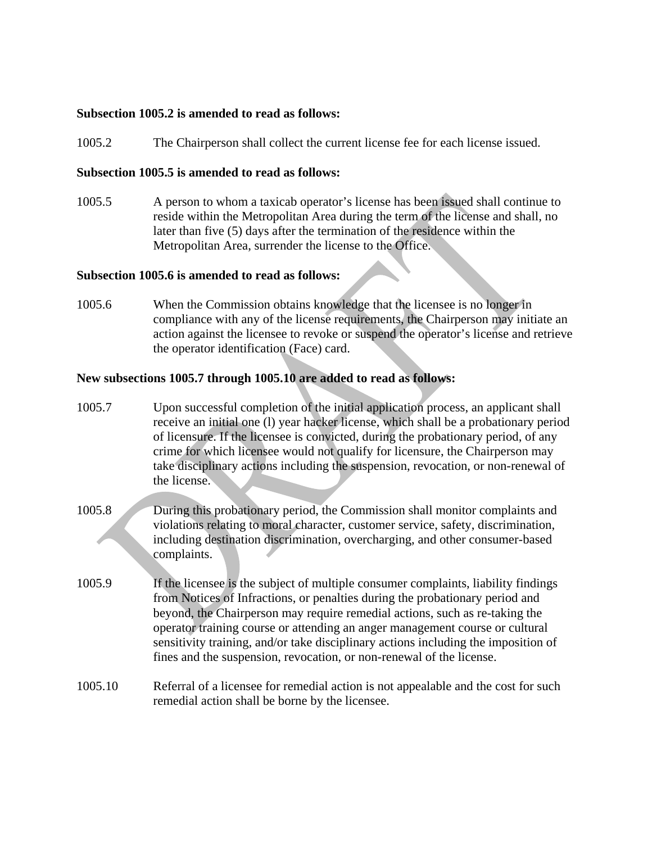### **Subsection 1005.2 is amended to read as follows:**

1005.2 The Chairperson shall collect the current license fee for each license issued.

#### **Subsection 1005.5 is amended to read as follows:**

1005.5 A person to whom a taxicab operator's license has been issued shall continue to reside within the Metropolitan Area during the term of the license and shall, no later than five (5) days after the termination of the residence within the Metropolitan Area, surrender the license to the Office.

#### **Subsection 1005.6 is amended to read as follows:**

1005.6 When the Commission obtains knowledge that the licensee is no longer in compliance with any of the license requirements, the Chairperson may initiate an action against the licensee to revoke or suspend the operator's license and retrieve the operator identification (Face) card.

### **New subsections 1005.7 through 1005.10 are added to read as follows:**

- 1005.7 Upon successful completion of the initial application process, an applicant shall receive an initial one (l) year hacker license, which shall be a probationary period of licensure. If the licensee is convicted, during the probationary period, of any crime for which licensee would not qualify for licensure, the Chairperson may take disciplinary actions including the suspension, revocation, or non-renewal of the license.
- 1005.8 During this probationary period, the Commission shall monitor complaints and violations relating to moral character, customer service, safety, discrimination, including destination discrimination, overcharging, and other consumer-based complaints.
- 1005.9 If the licensee is the subject of multiple consumer complaints, liability findings from Notices of Infractions, or penalties during the probationary period and beyond, the Chairperson may require remedial actions, such as re-taking the operator training course or attending an anger management course or cultural sensitivity training, and/or take disciplinary actions including the imposition of fines and the suspension, revocation, or non-renewal of the license.
- 1005.10 Referral of a licensee for remedial action is not appealable and the cost for such remedial action shall be borne by the licensee.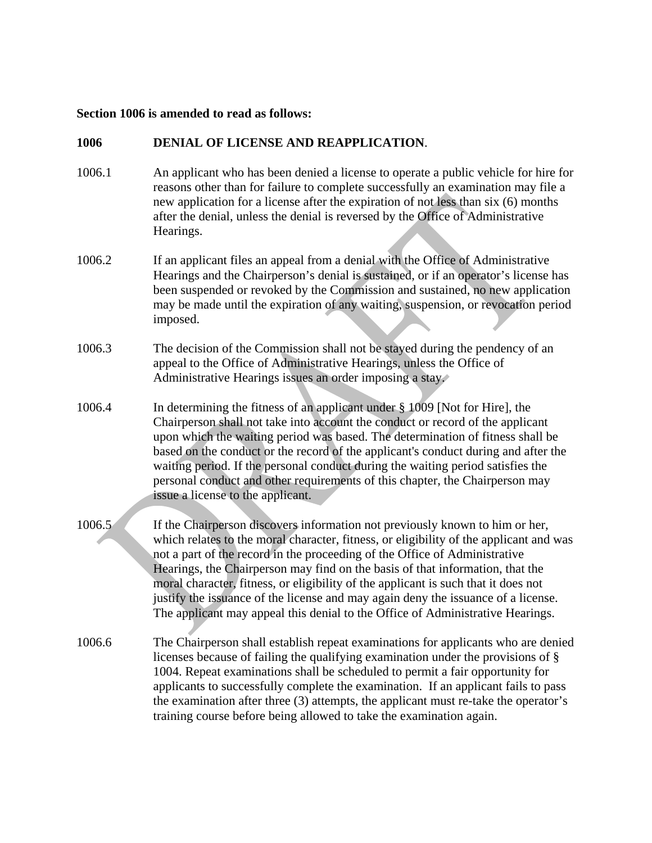#### **Section 1006 is amended to read as follows:**

### **1006 DENIAL OF LICENSE AND REAPPLICATION**.

- 1006.1 An applicant who has been denied a license to operate a public vehicle for hire for reasons other than for failure to complete successfully an examination may file a new application for a license after the expiration of not less than six (6) months after the denial, unless the denial is reversed by the Office of Administrative Hearings.
- 1006.2 If an applicant files an appeal from a denial with the Office of Administrative Hearings and the Chairperson's denial is sustained, or if an operator's license has been suspended or revoked by the Commission and sustained, no new application may be made until the expiration of any waiting, suspension, or revocation period imposed.
- 1006.3 The decision of the Commission shall not be stayed during the pendency of an appeal to the Office of Administrative Hearings, unless the Office of Administrative Hearings issues an order imposing a stay.
- 1006.4 In determining the fitness of an applicant under § 1009 [Not for Hire], the Chairperson shall not take into account the conduct or record of the applicant upon which the waiting period was based. The determination of fitness shall be based on the conduct or the record of the applicant's conduct during and after the waiting period. If the personal conduct during the waiting period satisfies the personal conduct and other requirements of this chapter, the Chairperson may issue a license to the applicant.
- 1006.5 If the Chairperson discovers information not previously known to him or her, which relates to the moral character, fitness, or eligibility of the applicant and was not a part of the record in the proceeding of the Office of Administrative Hearings, the Chairperson may find on the basis of that information, that the moral character, fitness, or eligibility of the applicant is such that it does not justify the issuance of the license and may again deny the issuance of a license. The applicant may appeal this denial to the Office of Administrative Hearings.
- 1006.6 The Chairperson shall establish repeat examinations for applicants who are denied licenses because of failing the qualifying examination under the provisions of § 1004. Repeat examinations shall be scheduled to permit a fair opportunity for applicants to successfully complete the examination. If an applicant fails to pass the examination after three (3) attempts, the applicant must re-take the operator's training course before being allowed to take the examination again.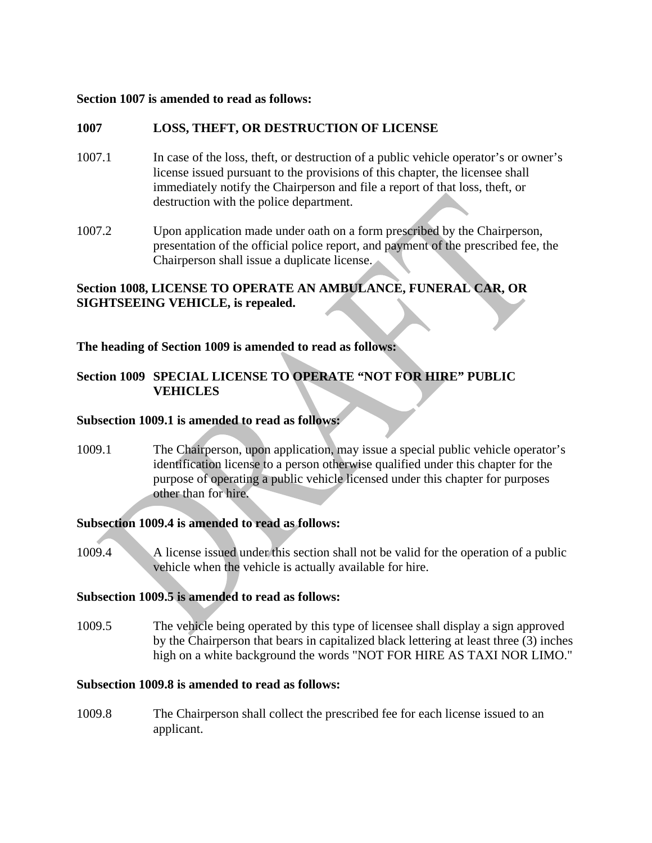### **Section 1007 is amended to read as follows:**

## **1007 LOSS, THEFT, OR DESTRUCTION OF LICENSE**

- 1007.1 In case of the loss, theft, or destruction of a public vehicle operator's or owner's license issued pursuant to the provisions of this chapter, the licensee shall immediately notify the Chairperson and file a report of that loss, theft, or destruction with the police department.
- 1007.2 Upon application made under oath on a form prescribed by the Chairperson, presentation of the official police report, and payment of the prescribed fee, the Chairperson shall issue a duplicate license.

# **Section 1008, LICENSE TO OPERATE AN AMBULANCE, FUNERAL CAR, OR SIGHTSEEING VEHICLE, is repealed.**

**The heading of Section 1009 is amended to read as follows:**

# **Section 1009 SPECIAL LICENSE TO OPERATE "NOT FOR HIRE" PUBLIC VEHICLES**

## **Subsection 1009.1 is amended to read as follows:**

1009.1 The Chairperson, upon application, may issue a special public vehicle operator's identification license to a person otherwise qualified under this chapter for the purpose of operating a public vehicle licensed under this chapter for purposes other than for hire.

## **Subsection 1009.4 is amended to read as follows:**

1009.4 A license issued under this section shall not be valid for the operation of a public vehicle when the vehicle is actually available for hire.

## **Subsection 1009.5 is amended to read as follows:**

1009.5 The vehicle being operated by this type of licensee shall display a sign approved by the Chairperson that bears in capitalized black lettering at least three (3) inches high on a white background the words "NOT FOR HIRE AS TAXI NOR LIMO."

## **Subsection 1009.8 is amended to read as follows:**

1009.8 The Chairperson shall collect the prescribed fee for each license issued to an applicant.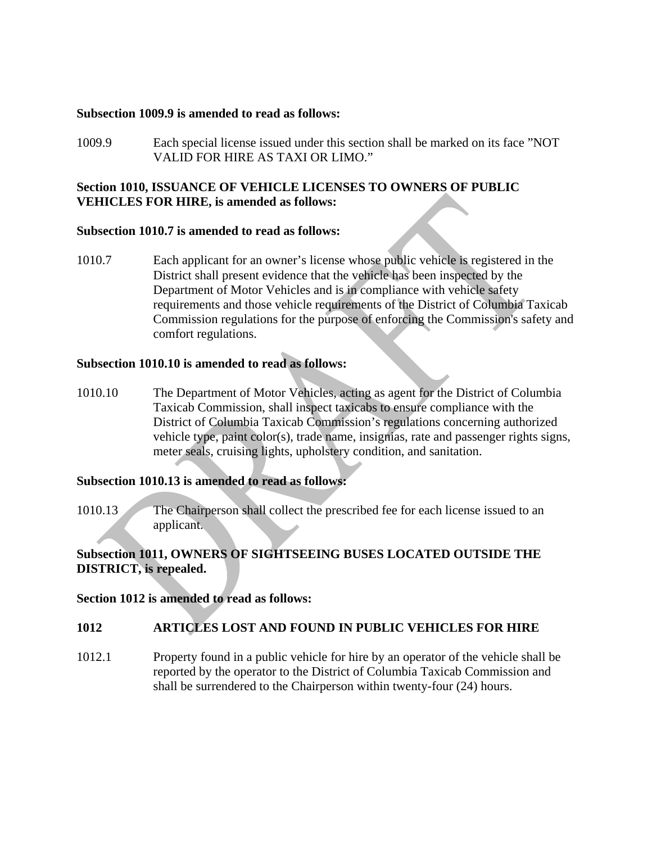#### **Subsection 1009.9 is amended to read as follows:**

1009.9 Each special license issued under this section shall be marked on its face "NOT VALID FOR HIRE AS TAXI OR LIMO."

## **Section 1010, ISSUANCE OF VEHICLE LICENSES TO OWNERS OF PUBLIC VEHICLES FOR HIRE, is amended as follows:**

## **Subsection 1010.7 is amended to read as follows:**

1010.7 Each applicant for an owner's license whose public vehicle is registered in the District shall present evidence that the vehicle has been inspected by the Department of Motor Vehicles and is in compliance with vehicle safety requirements and those vehicle requirements of the District of Columbia Taxicab Commission regulations for the purpose of enforcing the Commission's safety and comfort regulations.

# **Subsection 1010.10 is amended to read as follows:**

1010.10 The Department of Motor Vehicles, acting as agent for the District of Columbia Taxicab Commission, shall inspect taxicabs to ensure compliance with the District of Columbia Taxicab Commission's regulations concerning authorized vehicle type, paint color(s), trade name, insignias, rate and passenger rights signs, meter seals, cruising lights, upholstery condition, and sanitation.

### **Subsection 1010.13 is amended to read as follows:**

1010.13 The Chairperson shall collect the prescribed fee for each license issued to an applicant.

# **Subsection 1011, OWNERS OF SIGHTSEEING BUSES LOCATED OUTSIDE THE DISTRICT, is repealed.**

#### **Section 1012 is amended to read as follows:**

## **1012 ARTICLES LOST AND FOUND IN PUBLIC VEHICLES FOR HIRE**

1012.1 Property found in a public vehicle for hire by an operator of the vehicle shall be reported by the operator to the District of Columbia Taxicab Commission and shall be surrendered to the Chairperson within twenty-four (24) hours.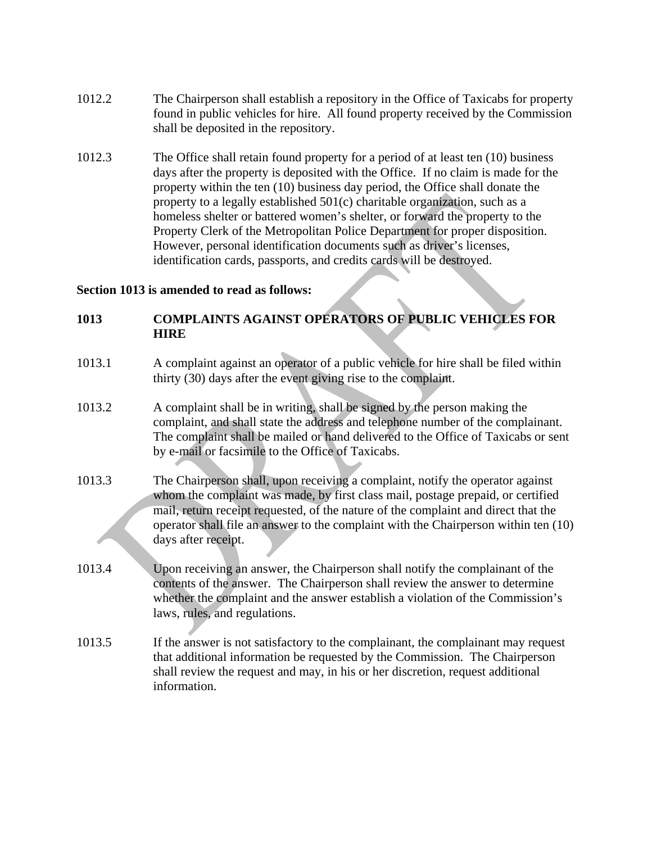- 1012.2 The Chairperson shall establish a repository in the Office of Taxicabs for property found in public vehicles for hire. All found property received by the Commission shall be deposited in the repository.
- 1012.3 The Office shall retain found property for a period of at least ten (10) business days after the property is deposited with the Office. If no claim is made for the property within the ten (10) business day period, the Office shall donate the property to a legally established 501(c) charitable organization, such as a homeless shelter or battered women's shelter, or forward the property to the Property Clerk of the Metropolitan Police Department for proper disposition. However, personal identification documents such as driver's licenses, identification cards, passports, and credits cards will be destroyed.

## **Section 1013 is amended to read as follows:**

# **1013 COMPLAINTS AGAINST OPERATORS OF PUBLIC VEHICLES FOR HIRE**

- 1013.1 A complaint against an operator of a public vehicle for hire shall be filed within thirty (30) days after the event giving rise to the complaint.
- 1013.2 A complaint shall be in writing, shall be signed by the person making the complaint, and shall state the address and telephone number of the complainant. The complaint shall be mailed or hand delivered to the Office of Taxicabs or sent by e-mail or facsimile to the Office of Taxicabs.
- 1013.3 The Chairperson shall, upon receiving a complaint, notify the operator against whom the complaint was made, by first class mail, postage prepaid, or certified mail, return receipt requested, of the nature of the complaint and direct that the operator shall file an answer to the complaint with the Chairperson within ten (10) days after receipt.
- 1013.4 Upon receiving an answer, the Chairperson shall notify the complainant of the contents of the answer. The Chairperson shall review the answer to determine whether the complaint and the answer establish a violation of the Commission's laws, rules, and regulations.
- 1013.5 If the answer is not satisfactory to the complainant, the complainant may request that additional information be requested by the Commission. The Chairperson shall review the request and may, in his or her discretion, request additional information.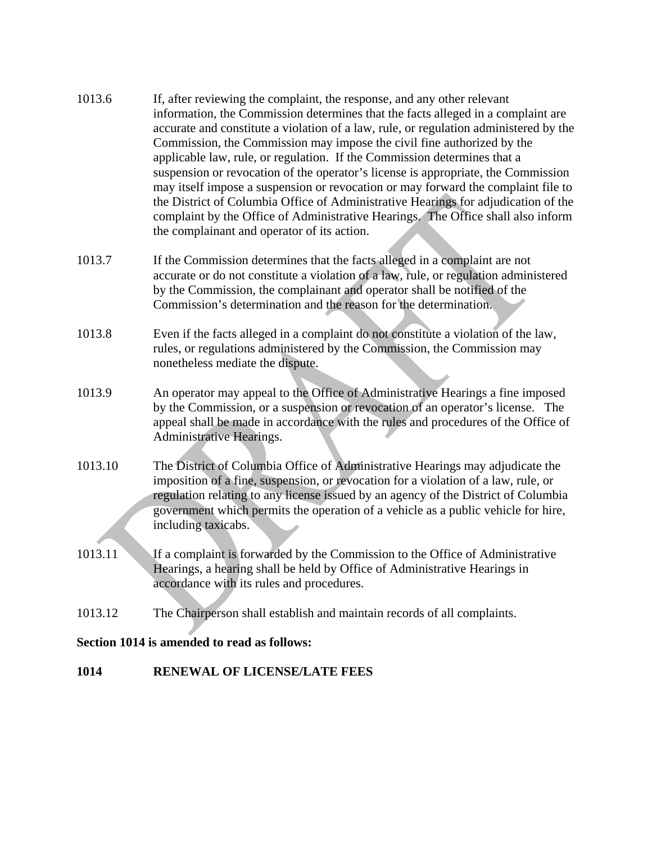- 1013.6 If, after reviewing the complaint, the response, and any other relevant information, the Commission determines that the facts alleged in a complaint are accurate and constitute a violation of a law, rule, or regulation administered by the Commission, the Commission may impose the civil fine authorized by the applicable law, rule, or regulation. If the Commission determines that a suspension or revocation of the operator's license is appropriate, the Commission may itself impose a suspension or revocation or may forward the complaint file to the District of Columbia Office of Administrative Hearings for adjudication of the complaint by the Office of Administrative Hearings. The Office shall also inform the complainant and operator of its action.
- 1013.7 If the Commission determines that the facts alleged in a complaint are not accurate or do not constitute a violation of a law, rule, or regulation administered by the Commission, the complainant and operator shall be notified of the Commission's determination and the reason for the determination.
- 1013.8 Even if the facts alleged in a complaint do not constitute a violation of the law, rules, or regulations administered by the Commission, the Commission may nonetheless mediate the dispute.
- 1013.9 An operator may appeal to the Office of Administrative Hearings a fine imposed by the Commission, or a suspension or revocation of an operator's license. The appeal shall be made in accordance with the rules and procedures of the Office of Administrative Hearings.
- 1013.10 The District of Columbia Office of Administrative Hearings may adjudicate the imposition of a fine, suspension, or revocation for a violation of a law, rule, or regulation relating to any license issued by an agency of the District of Columbia government which permits the operation of a vehicle as a public vehicle for hire, including taxicabs.
- 1013.11 If a complaint is forwarded by the Commission to the Office of Administrative Hearings, a hearing shall be held by Office of Administrative Hearings in accordance with its rules and procedures.
- 1013.12 The Chairperson shall establish and maintain records of all complaints.

# **Section 1014 is amended to read as follows:**

# **1014 RENEWAL OF LICENSE/LATE FEES**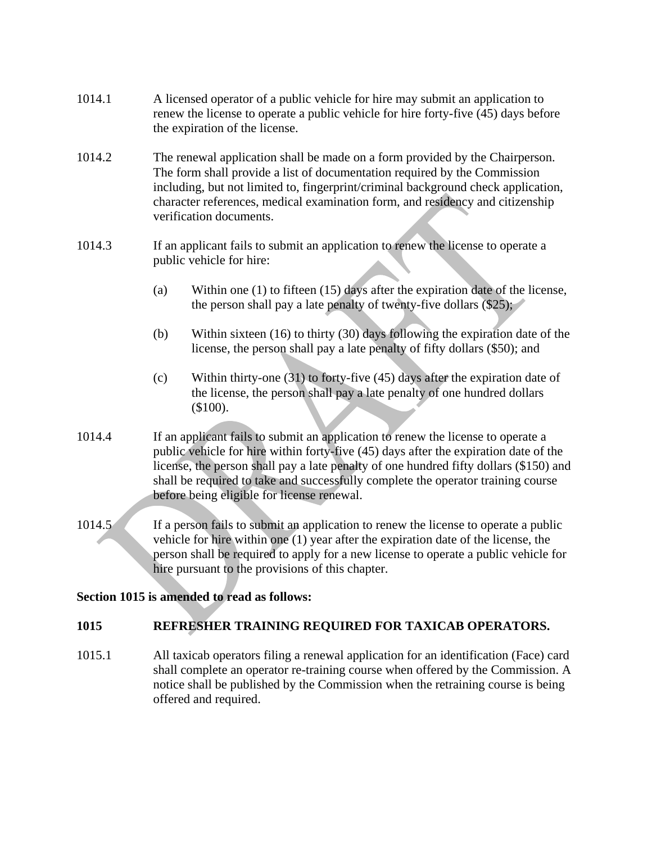| 1014.1 | A licensed operator of a public vehicle for hire may submit an application to<br>renew the license to operate a public vehicle for hire forty-five (45) days before<br>the expiration of the license.                                                                                                                                                                                               |                                                                                                                                                                        |  |
|--------|-----------------------------------------------------------------------------------------------------------------------------------------------------------------------------------------------------------------------------------------------------------------------------------------------------------------------------------------------------------------------------------------------------|------------------------------------------------------------------------------------------------------------------------------------------------------------------------|--|
| 1014.2 | The renewal application shall be made on a form provided by the Chairperson.<br>The form shall provide a list of documentation required by the Commission<br>including, but not limited to, fingerprint/criminal background check application,<br>character references, medical examination form, and residency and citizenship<br>verification documents.                                          |                                                                                                                                                                        |  |
| 1014.3 | If an applicant fails to submit an application to renew the license to operate a<br>public vehicle for hire:                                                                                                                                                                                                                                                                                        |                                                                                                                                                                        |  |
|        | (a)                                                                                                                                                                                                                                                                                                                                                                                                 | Within one $(1)$ to fifteen $(15)$ days after the expiration date of the license,<br>the person shall pay a late penalty of twenty-five dollars $(\$25)$ ;             |  |
|        | (b)                                                                                                                                                                                                                                                                                                                                                                                                 | Within sixteen $(16)$ to thirty $(30)$ days following the expiration date of the<br>license, the person shall pay a late penalty of fifty dollars (\$50); and          |  |
|        | (c)                                                                                                                                                                                                                                                                                                                                                                                                 | Within thirty-one $(31)$ to forty-five $(45)$ days after the expiration date of<br>the license, the person shall pay a late penalty of one hundred dollars<br>(\$100). |  |
| 1014.4 | If an applicant fails to submit an application to renew the license to operate a<br>public vehicle for hire within forty-five (45) days after the expiration date of the<br>license, the person shall pay a late penalty of one hundred fifty dollars (\$150) and<br>shall be required to take and successfully complete the operator training course<br>before being eligible for license renewal. |                                                                                                                                                                        |  |
| 1014.5 | If a person fails to submit an application to renew the license to operate a public<br>vehicle for hire within one (1) year after the expiration date of the license, the<br>person shall be required to apply for a new license to operate a public vehicle for<br>hire pursuant to the provisions of this chapter.                                                                                |                                                                                                                                                                        |  |
|        |                                                                                                                                                                                                                                                                                                                                                                                                     | Section 1015 is amended to read as follows:                                                                                                                            |  |

# **1015 REFRESHER TRAINING REQUIRED FOR TAXICAB OPERATORS.**

1015.1 All taxicab operators filing a renewal application for an identification (Face) card shall complete an operator re-training course when offered by the Commission. A notice shall be published by the Commission when the retraining course is being offered and required.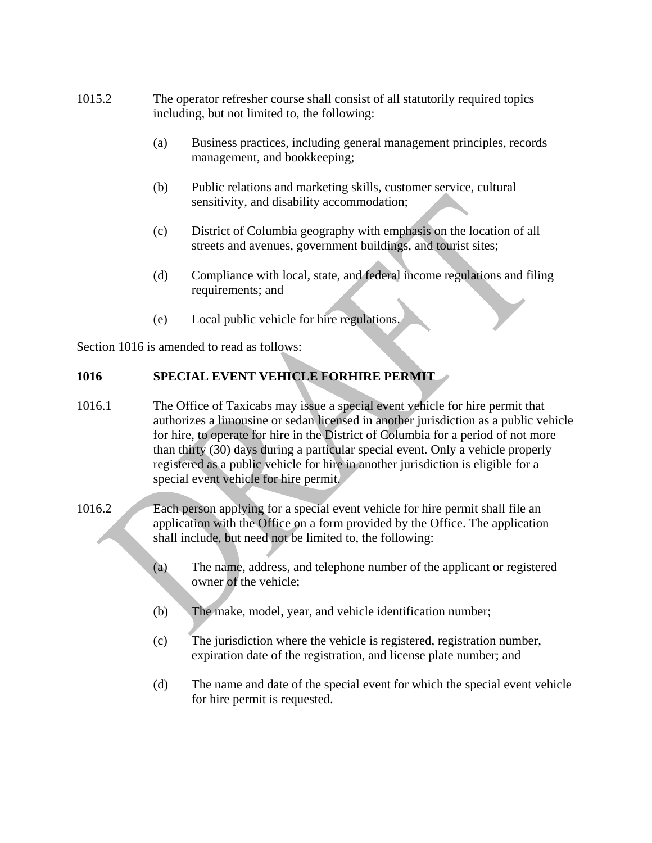- 1015.2 The operator refresher course shall consist of all statutorily required topics including, but not limited to, the following:
	- (a) Business practices, including general management principles, records management, and bookkeeping;
	- (b) Public relations and marketing skills, customer service, cultural sensitivity, and disability accommodation;
	- (c) District of Columbia geography with emphasis on the location of all streets and avenues, government buildings, and tourist sites;
	- (d) Compliance with local, state, and federal income regulations and filing requirements; and
	- (e) Local public vehicle for hire regulations.

Section 1016 is amended to read as follows:

# **1016 SPECIAL EVENT VEHICLE FORHIRE PERMIT**

- 1016.1 The Office of Taxicabs may issue a special event vehicle for hire permit that authorizes a limousine or sedan licensed in another jurisdiction as a public vehicle for hire, to operate for hire in the District of Columbia for a period of not more than thirty (30) days during a particular special event. Only a vehicle properly registered as a public vehicle for hire in another jurisdiction is eligible for a special event vehicle for hire permit.
- 1016.2 Each person applying for a special event vehicle for hire permit shall file an application with the Office on a form provided by the Office. The application shall include, but need not be limited to, the following:
	- (a) The name, address, and telephone number of the applicant or registered owner of the vehicle;
	- (b) The make, model, year, and vehicle identification number;
	- (c) The jurisdiction where the vehicle is registered, registration number, expiration date of the registration, and license plate number; and
	- (d) The name and date of the special event for which the special event vehicle for hire permit is requested.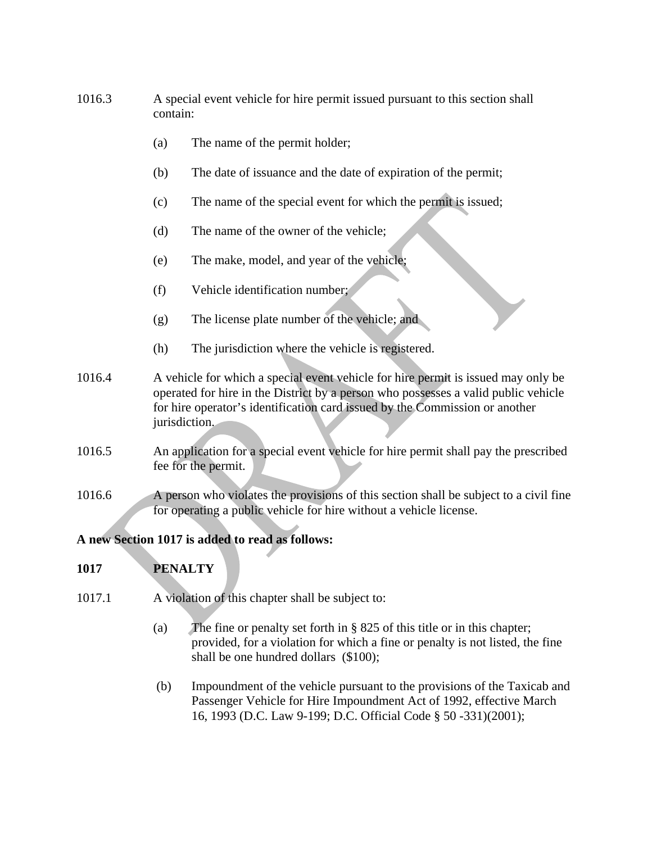- 1016.3 A special event vehicle for hire permit issued pursuant to this section shall contain:
	- (a) The name of the permit holder;
	- (b) The date of issuance and the date of expiration of the permit;
	- (c) The name of the special event for which the permit is issued;
	- (d) The name of the owner of the vehicle;
	- (e) The make, model, and year of the vehicle;
	- (f) Vehicle identification number;
	- (g) The license plate number of the vehicle; and
	- (h) The jurisdiction where the vehicle is registered.
- 1016.4 A vehicle for which a special event vehicle for hire permit is issued may only be operated for hire in the District by a person who possesses a valid public vehicle for hire operator's identification card issued by the Commission or another jurisdiction.
- 1016.5 An application for a special event vehicle for hire permit shall pay the prescribed fee for the permit.
- 1016.6 A person who violates the provisions of this section shall be subject to a civil fine for operating a public vehicle for hire without a vehicle license.

## **A new Section 1017 is added to read as follows:**

# **1017 PENALTY**

- 1017.1 A violation of this chapter shall be subject to:
	- (a) The fine or penalty set forth in § 825 of this title or in this chapter; provided, for a violation for which a fine or penalty is not listed, the fine shall be one hundred dollars (\$100);
	- (b) Impoundment of the vehicle pursuant to the provisions of the Taxicab and Passenger Vehicle for Hire Impoundment Act of 1992, effective March 16, 1993 (D.C. Law 9-199; D.C. Official Code § 50 -331)(2001);